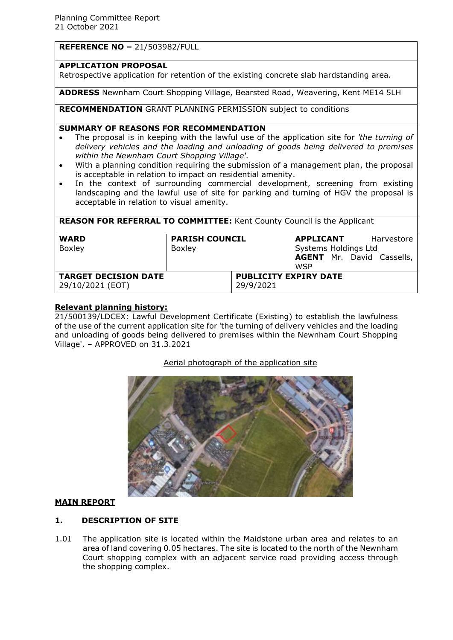# **REFERENCE NO –** 21/503982/FULL

#### **APPLICATION PROPOSAL**

Retrospective application for retention of the existing concrete slab hardstanding area.

**ADDRESS** Newnham Court Shopping Village, Bearsted Road, Weavering, Kent ME14 5LH

**RECOMMENDATION** GRANT PLANNING PERMISSION subject to conditions

#### **SUMMARY OF REASONS FOR RECOMMENDATION**

- The proposal is in keeping with the lawful use of the application site for *'the turning of delivery vehicles and the loading and unloading of goods being delivered to premises within the Newnham Court Shopping Village'.*
- With a planning condition requiring the submission of a management plan, the proposal is acceptable in relation to impact on residential amenity.
- In the context of surrounding commercial development, screening from existing landscaping and the lawful use of site for parking and turning of HGV the proposal is acceptable in relation to visual amenity.

| <b>REASON FOR REFERRAL TO COMMITTEE:</b> Kent County Council is the Applicant |                       |                                           |                      |                                  |
|-------------------------------------------------------------------------------|-----------------------|-------------------------------------------|----------------------|----------------------------------|
| <b>WARD</b>                                                                   | <b>PARISH COUNCIL</b> |                                           |                      | <b>APPLICANT</b> Harvestore      |
| Boxley                                                                        | Boxley                |                                           | Systems Holdings Ltd |                                  |
|                                                                               |                       |                                           |                      | <b>AGENT</b> Mr. David Cassells, |
|                                                                               |                       |                                           | WSP                  |                                  |
| <b>TARGET DECISION DATE</b><br>29/10/2021 (EOT)                               |                       | <b>PUBLICITY EXPIRY DATE</b><br>29/9/2021 |                      |                                  |

## **Relevant planning history:**

21/500139/LDCEX: Lawful Development Certificate (Existing) to establish the lawfulness of the use of the current application site for 'the turning of delivery vehicles and the loading and unloading of goods being delivered to premises within the Newnham Court Shopping Village'. – APPROVED on 31.3.2021

#### Aerial photograph of the application site



## **MAIN REPORT**

## **1. DESCRIPTION OF SITE**

1.01 The application site is located within the Maidstone urban area and relates to an area of land covering 0.05 hectares. The site is located to the north of the Newnham Court shopping complex with an adjacent service road providing access through the shopping complex.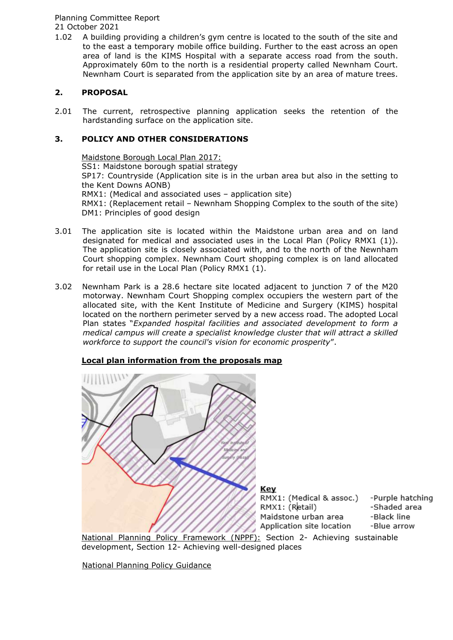#### Planning Committee Report 21 October 2021

1.02 A building providing a children's gym centre is located to the south of the site and to the east a temporary mobile office building. Further to the east across an open area of land is the KIMS Hospital with a separate access road from the south. Approximately 60m to the north is a residential property called Newnham Court. Newnham Court is separated from the application site by an area of mature trees.

# **2. PROPOSAL**

2.01 The current, retrospective planning application seeks the retention of the hardstanding surface on the application site.

# **3. POLICY AND OTHER CONSIDERATIONS**

Maidstone Borough Local Plan 2017: SS1: Maidstone borough spatial strategy SP17: Countryside (Application site is in the urban area but also in the setting to the Kent Downs AONB) RMX1: (Medical and associated uses – application site) RMX1: (Replacement retail - Newnham Shopping Complex to the south of the site) DM1: Principles of good design

- 3.01 The application site is located within the Maidstone urban area and on land designated for medical and associated uses in the Local Plan (Policy RMX1 (1)). The application site is closely associated with, and to the north of the Newnham Court shopping complex. Newnham Court shopping complex is on land allocated for retail use in the Local Plan (Policy RMX1 (1).
- 3.02 Newnham Park is a 28.6 hectare site located adjacent to junction 7 of the M20 motorway. Newnham Court Shopping complex occupiers the western part of the allocated site, with the Kent Institute of Medicine and Surgery (KIMS) hospital located on the northern perimeter served by a new access road. The adopted Local Plan states "*Expanded hospital facilities and associated development to form a medical campus will create a specialist knowledge cluster that will attract a skilled workforce to support the council's vision for economic prosperity*".

# **Local plan information from the proposals map**



development, Section 12- Achieving well-designed places

National Planning Policy Guidance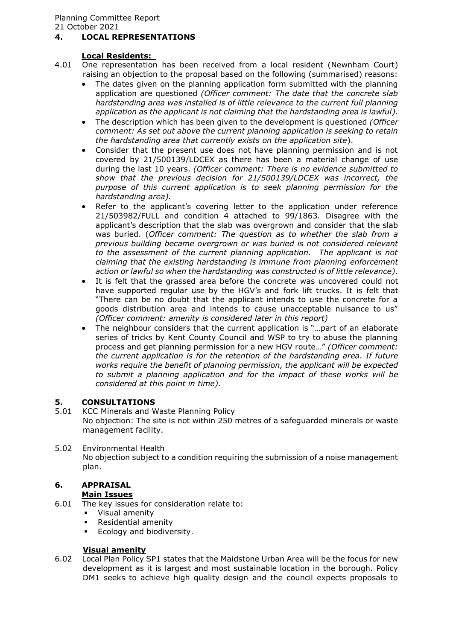## **4. LOCAL REPRESENTATIONS**

#### **Local Residents:**

- 4.01 One representation has been received from a local resident (Newnham Court) raising an objection to the proposal based on the following (summarised) reasons:
	- The dates given on the planning application form submitted with the planning application are questioned *(Officer comment: The date that the concrete slab hardstanding area was installed is of little relevance to the current full planning application as the applicant is not claiming that the hardstanding area is lawful).*
	- The description which has been given to the development is questioned *(Officer comment: As set out above the current planning application is seeking to retain the hardstanding area that currently exists on the application site*).
	- Consider that the present use does not have planning permission and is not covered by 21/500139/LDCEX as there has been a material change of use during the last 10 years. *(Officer comment: There is no evidence submitted to show that the previous decision for 21/500139/LDCEX was incorrect, the purpose of this current application is to seek planning permission for the hardstanding area).*
	- Refer to the applicant's covering letter to the application under reference 21/503982/FULL and condition 4 attached to 99/1863. Disagree with the applicant's description that the slab was overgrown and consider that the slab was buried. (*Officer comment: The question as to whether the slab from a previous building became overgrown or was buried is not considered relevant to the assessment of the current planning application. The applicant is not claiming that the existing hardstanding is immune from planning enforcement action or lawful so when the hardstanding was constructed is of little relevance).*
	- It is felt that the grassed area before the concrete was uncovered could not have supported regular use by the HGV's and fork lift trucks. It is felt that "There can be no doubt that the applicant intends to use the concrete for a goods distribution area and intends to cause unacceptable nuisance to us" *(Officer comment: amenity is considered later in this report)*
	- The neighbour considers that the current application is "…part of an elaborate series of tricks by Kent County Council and WSP to try to abuse the planning process and get planning permission for a new HGV route…" *(Officer comment: the current application is for the retention of the hardstanding area. If future works require the benefit of planning permission, the applicant will be expected to submit a planning application and for the impact of these works will be considered at this point in time).*

## **5. CONSULTATIONS**

- 5.01 KCC Minerals and Waste Planning Policy No objection: The site is not within 250 metres of a safeguarded minerals or waste management facility.
- 5.02 Environmental Health No objection subject to a condition requiring the submission of a noise management plan.

#### **6. APPRAISAL Main Issues**

6.01 The key issues for consideration relate to:

- Visual amenity
- Residential amenity
- **Ecology and biodiversity.**

# **Visual amenity**

6.02 Local Plan Policy SP1 states that the Maidstone Urban Area will be the focus for new development as it is largest and most sustainable location in the borough. Policy DM1 seeks to achieve high quality design and the council expects proposals to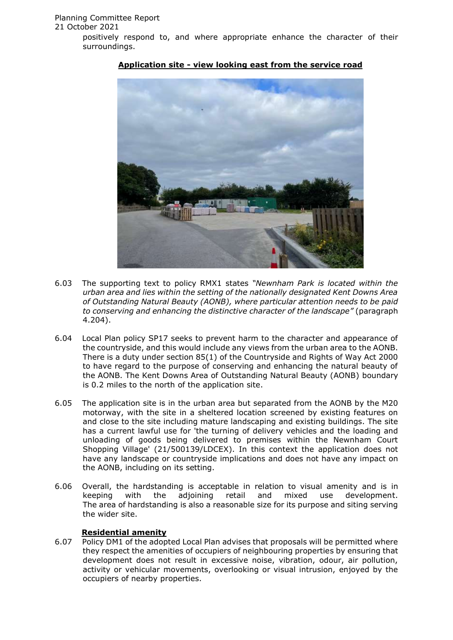

## **Application site - view looking east from the service road**

- 6.03 The supporting text to policy RMX1 states *"Newnham Park is located within the urban area and lies within the setting of the nationally designated Kent Downs Area of Outstanding Natural Beauty (AONB), where particular attention needs to be paid to conserving and enhancing the distinctive character of the landscape"* (paragraph 4.204).
- 6.04 Local Plan policy SP17 seeks to prevent harm to the character and appearance of the countryside, and this would include any views from the urban area to the AONB. There is a duty under section 85(1) of the Countryside and Rights of Way Act 2000 to have regard to the purpose of conserving and enhancing the natural beauty of the AONB. The Kent Downs Area of Outstanding Natural Beauty (AONB) boundary is 0.2 miles to the north of the application site.
- 6.05 The application site is in the urban area but separated from the AONB by the M20 motorway, with the site in a sheltered location screened by existing features on and close to the site including mature landscaping and existing buildings. The site has a current lawful use for 'the turning of delivery vehicles and the loading and unloading of goods being delivered to premises within the Newnham Court Shopping Village' (21/500139/LDCEX). In this context the application does not have any landscape or countryside implications and does not have any impact on the AONB, including on its setting.
- 6.06 Overall, the hardstanding is acceptable in relation to visual amenity and is in keeping with the adjoining retail and mixed use development. The area of hardstanding is also a reasonable size for its purpose and siting serving the wider site.

## **Residential amenity**

6.07 Policy DM1 of the adopted Local Plan advises that proposals will be permitted where they respect the amenities of occupiers of neighbouring properties by ensuring that development does not result in excessive noise, vibration, odour, air pollution, activity or vehicular movements, overlooking or visual intrusion, enjoyed by the occupiers of nearby properties.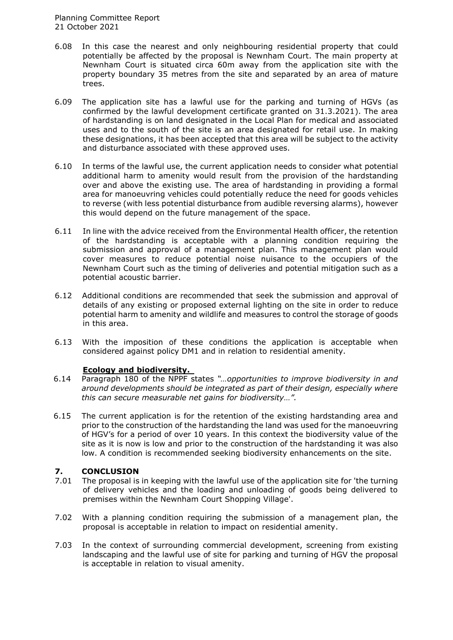- 6.08 In this case the nearest and only neighbouring residential property that could potentially be affected by the proposal is Newnham Court. The main property at Newnham Court is situated circa 60m away from the application site with the property boundary 35 metres from the site and separated by an area of mature trees.
- 6.09 The application site has a lawful use for the parking and turning of HGVs (as confirmed by the lawful development certificate granted on 31.3.2021). The area of hardstanding is on land designated in the Local Plan for medical and associated uses and to the south of the site is an area designated for retail use. In making these designations, it has been accepted that this area will be subject to the activity and disturbance associated with these approved uses.
- 6.10 In terms of the lawful use, the current application needs to consider what potential additional harm to amenity would result from the provision of the hardstanding over and above the existing use. The area of hardstanding in providing a formal area for manoeuvring vehicles could potentially reduce the need for goods vehicles to reverse (with less potential disturbance from audible reversing alarms), however this would depend on the future management of the space.
- 6.11 In line with the advice received from the Environmental Health officer, the retention of the hardstanding is acceptable with a planning condition requiring the submission and approval of a management plan. This management plan would cover measures to reduce potential noise nuisance to the occupiers of the Newnham Court such as the timing of deliveries and potential mitigation such as a potential acoustic barrier.
- 6.12 Additional conditions are recommended that seek the submission and approval of details of any existing or proposed external lighting on the site in order to reduce potential harm to amenity and wildlife and measures to control the storage of goods in this area.
- 6.13 With the imposition of these conditions the application is acceptable when considered against policy DM1 and in relation to residential amenity.

#### **Ecology and biodiversity.**

- 6.14 Paragraph 180 of the NPPF states *"…opportunities to improve biodiversity in and around developments should be integrated as part of their design, especially where this can secure measurable net gains for biodiversity…".*
- 6.15 The current application is for the retention of the existing hardstanding area and prior to the construction of the hardstanding the land was used for the manoeuvring of HGV's for a period of over 10 years. In this context the biodiversity value of the site as it is now is low and prior to the construction of the hardstanding it was also low. A condition is recommended seeking biodiversity enhancements on the site.

## **7. CONCLUSION**

- 7.01 The proposal is in keeping with the lawful use of the application site for 'the turning of delivery vehicles and the loading and unloading of goods being delivered to premises within the Newnham Court Shopping Village'.
- 7.02 With a planning condition requiring the submission of a management plan, the proposal is acceptable in relation to impact on residential amenity.
- 7.03 In the context of surrounding commercial development, screening from existing landscaping and the lawful use of site for parking and turning of HGV the proposal is acceptable in relation to visual amenity.